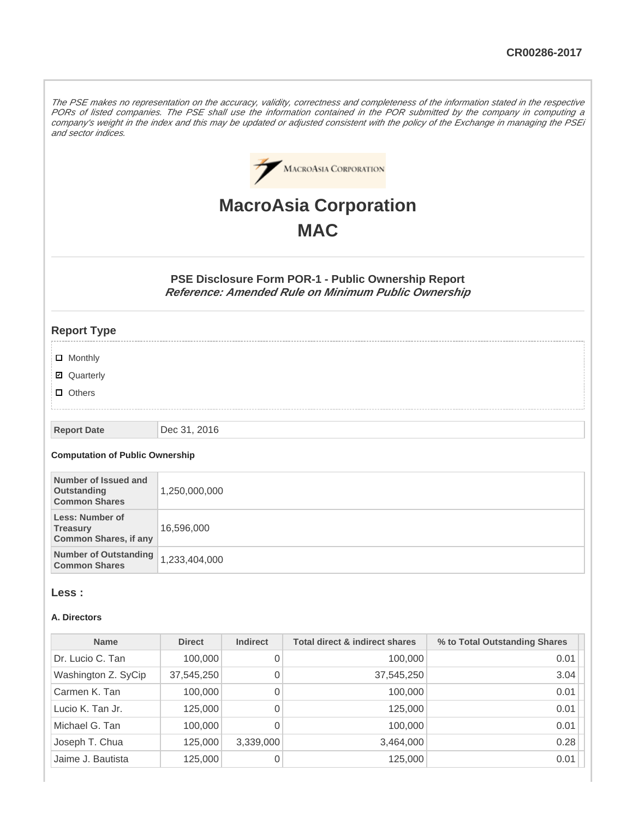The PSE makes no representation on the accuracy, validity, correctness and completeness of the information stated in the respective PORs of listed companies. The PSE shall use the information contained in the POR submitted by the company in computing a company's weight in the index and this may be updated or adjusted consistent with the policy of the Exchange in managing the PSEi and sector indices.



# **MacroAsia Corporation MAC**

**PSE Disclosure Form POR-1 - Public Ownership Report Reference: Amended Rule on Minimum Public Ownership**

## **Report Type**

- **D** Monthly
- Quarterly
- **D** Others

#### **Report Date** Dec 31, 2016

#### **Computation of Public Ownership**

| Number of Issued and<br>Outstanding<br><b>Common Shares</b>        | 1,250,000,000 |
|--------------------------------------------------------------------|---------------|
| Less: Number of<br><b>Treasury</b><br><b>Common Shares, if any</b> | 16,596,000    |
| <b>Number of Outstanding</b><br><b>Common Shares</b>               | 1,233,404,000 |

### **Less :**

#### **A. Directors**

| <b>Name</b>         | <b>Direct</b> | <b>Indirect</b> | <b>Total direct &amp; indirect shares</b> | % to Total Outstanding Shares |
|---------------------|---------------|-----------------|-------------------------------------------|-------------------------------|
| Dr. Lucio C. Tan    | 100,000       | 0               | 100,000                                   | 0.01                          |
| Washington Z. SyCip | 37,545,250    | 0               | 37,545,250                                | 3.04                          |
| Carmen K. Tan       | 100,000       | 0               | 100,000                                   | 0.01                          |
| Lucio K. Tan Jr.    | 125,000       | 0               | 125,000                                   | 0.01                          |
| Michael G. Tan      | 100,000       | 0               | 100,000                                   | 0.01                          |
| Joseph T. Chua      | 125,000       | 3,339,000       | 3,464,000                                 | 0.28                          |
| Jaime J. Bautista   | 125,000       | 0               | 125,000                                   | 0.01                          |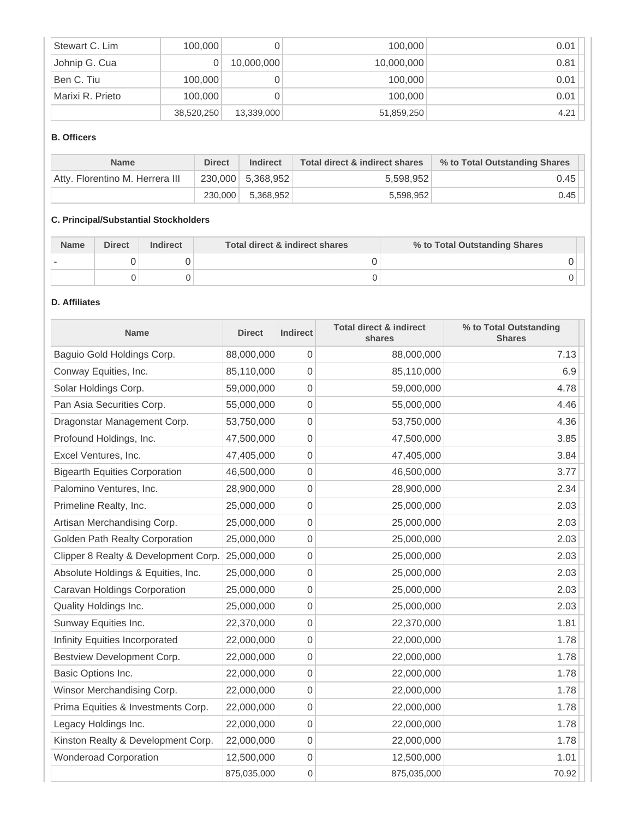| Stewart C. Lim   | 100,000    |            | 100,000    | 0.01 |
|------------------|------------|------------|------------|------|
| Johnip G. Cua    |            | 10,000,000 | 10,000,000 | 0.81 |
| Ben C. Tiu       | 100,000    |            | 100,000    | 0.01 |
| Marixi R. Prieto | 100,000    |            | 100,000    | 0.01 |
|                  | 38,520,250 | 13,339,000 | 51,859,250 | 4.21 |

## **B. Officers**

| <b>Name</b>                     | <b>Direct</b> | <b>Indirect</b>     | Total direct & indirect shares | % to Total Outstanding Shares |
|---------------------------------|---------------|---------------------|--------------------------------|-------------------------------|
| Atty, Florentino M. Herrera III |               | $230,000$ 5,368,952 | 5,598,952                      | 0.45                          |
|                                 | 230,000       | 5.368.952           | 5.598.952                      | 0.45                          |

# **C. Principal/Substantial Stockholders**

| <b>Name</b> | <b>Direct</b> | <b>Indirect</b> | Total direct & indirect shares | % to Total Outstanding Shares |
|-------------|---------------|-----------------|--------------------------------|-------------------------------|
|             |               |                 |                                |                               |
|             |               |                 |                                |                               |

# **D. Affiliates**

| <b>Name</b>                          | <b>Direct</b> | <b>Indirect</b>  | <b>Total direct &amp; indirect</b><br>shares | % to Total Outstanding<br><b>Shares</b> |
|--------------------------------------|---------------|------------------|----------------------------------------------|-----------------------------------------|
| Baguio Gold Holdings Corp.           | 88,000,000    | 0                | 88,000,000                                   | 7.13                                    |
| Conway Equities, Inc.                | 85,110,000    | 0                | 85,110,000                                   | 6.9                                     |
| Solar Holdings Corp.                 | 59,000,000    | 0                | 59,000,000                                   | 4.78                                    |
| Pan Asia Securities Corp.            | 55,000,000    | 0                | 55,000,000                                   | 4.46                                    |
| Dragonstar Management Corp.          | 53,750,000    | 0                | 53,750,000                                   | 4.36                                    |
| Profound Holdings, Inc.              | 47,500,000    | 0                | 47,500,000                                   | 3.85                                    |
| Excel Ventures, Inc.                 | 47,405,000    | 0                | 47,405,000                                   | 3.84                                    |
| <b>Bigearth Equities Corporation</b> | 46,500,000    | 0                | 46,500,000                                   | 3.77                                    |
| Palomino Ventures, Inc.              | 28,900,000    | 0                | 28,900,000                                   | 2.34                                    |
| Primeline Realty, Inc.               | 25,000,000    | 0                | 25,000,000                                   | 2.03                                    |
| Artisan Merchandising Corp.          | 25,000,000    | 0                | 25,000,000                                   | 2.03                                    |
| Golden Path Realty Corporation       | 25,000,000    | 0                | 25,000,000                                   | 2.03                                    |
| Clipper 8 Realty & Development Corp. | 25,000,000    | 0                | 25,000,000                                   | 2.03                                    |
| Absolute Holdings & Equities, Inc.   | 25,000,000    | 0                | 25,000,000                                   | 2.03                                    |
| Caravan Holdings Corporation         | 25,000,000    | 0                | 25,000,000                                   | 2.03                                    |
| Quality Holdings Inc.                | 25,000,000    | 0                | 25,000,000                                   | 2.03                                    |
| Sunway Equities Inc.                 | 22,370,000    | 0                | 22,370,000                                   | 1.81                                    |
| Infinity Equities Incorporated       | 22,000,000    | 0                | 22,000,000                                   | 1.78                                    |
| Bestview Development Corp.           | 22,000,000    | 0                | 22,000,000                                   | 1.78                                    |
| Basic Options Inc.                   | 22,000,000    | 0                | 22,000,000                                   | 1.78                                    |
| Winsor Merchandising Corp.           | 22,000,000    | 0                | 22,000,000                                   | 1.78                                    |
| Prima Equities & Investments Corp.   | 22,000,000    | 0                | 22,000,000                                   | 1.78                                    |
| Legacy Holdings Inc.                 | 22,000,000    | 0                | 22,000,000                                   | 1.78                                    |
| Kinston Realty & Development Corp.   | 22,000,000    | 0                | 22,000,000                                   | 1.78                                    |
| <b>Wonderoad Corporation</b>         | 12,500,000    | 0                | 12,500,000                                   | 1.01                                    |
|                                      | 875,035,000   | $\boldsymbol{0}$ | 875,035,000                                  | 70.92                                   |